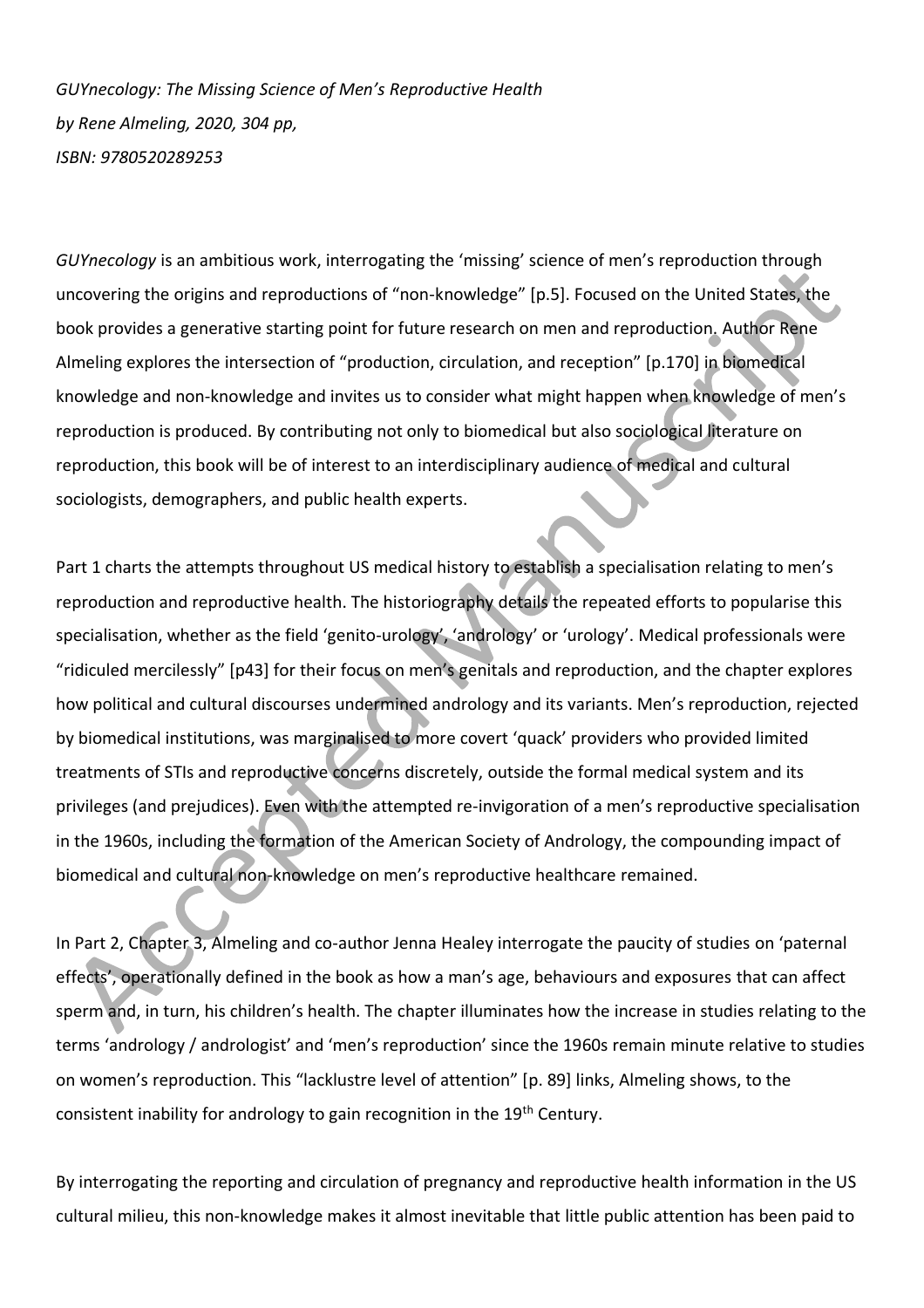*GUYnecology: The Missing Science of Men's Reproductive Health by Rene Almeling, 2020, 304 pp, ISBN: 9780520289253*

*GUYnecology* is an ambitious work, interrogating the 'missing' science of men's reproduction through uncovering the origins and reproductions of "non-knowledge" [p.5]. Focused on the United States, the book provides a generative starting point for future research on men and reproduction. Author Rene Almeling explores the intersection of "production, circulation, and reception" [p.170] in biomedical knowledge and non-knowledge and invites us to consider what might happen when knowledge of men's reproduction is produced. By contributing not only to biomedical but also sociological literature on reproduction, this book will be of interest to an interdisciplinary audience of medical and cultural sociologists, demographers, and public health experts.

Part 1 charts the attempts throughout US medical history to establish a specialisation relating to men's reproduction and reproductive health. The historiography details the repeated efforts to popularise this specialisation, whether as the field 'genito-urology', 'andrology' or 'urology'. Medical professionals were "ridiculed mercilessly" [p43] for their focus on men's genitals and reproduction, and the chapter explores how political and cultural discourses undermined andrology and its variants. Men's reproduction, rejected by biomedical institutions, was marginalised to more covert 'quack' providers who provided limited treatments of STIs and reproductive concerns discretely, outside the formal medical system and its privileges (and prejudices). Even with the attempted re-invigoration of a men's reproductive specialisation in the 1960s, including the formation of the American Society of Andrology, the compounding impact of biomedical and cultural non-knowledge on men's reproductive healthcare remained.

In Part 2, Chapter 3, Almeling and co-author Jenna Healey interrogate the paucity of studies on 'paternal effects', operationally defined in the book as how a man's age, behaviours and exposures that can affect sperm and, in turn, his children's health. The chapter illuminates how the increase in studies relating to the terms 'andrology / andrologist' and 'men's reproduction' since the 1960s remain minute relative to studies on women's reproduction. This "lacklustre level of attention" [p. 89] links, Almeling shows, to the consistent inability for andrology to gain recognition in the 19<sup>th</sup> Century.

By interrogating the reporting and circulation of pregnancy and reproductive health information in the US cultural milieu, this non-knowledge makes it almost inevitable that little public attention has been paid to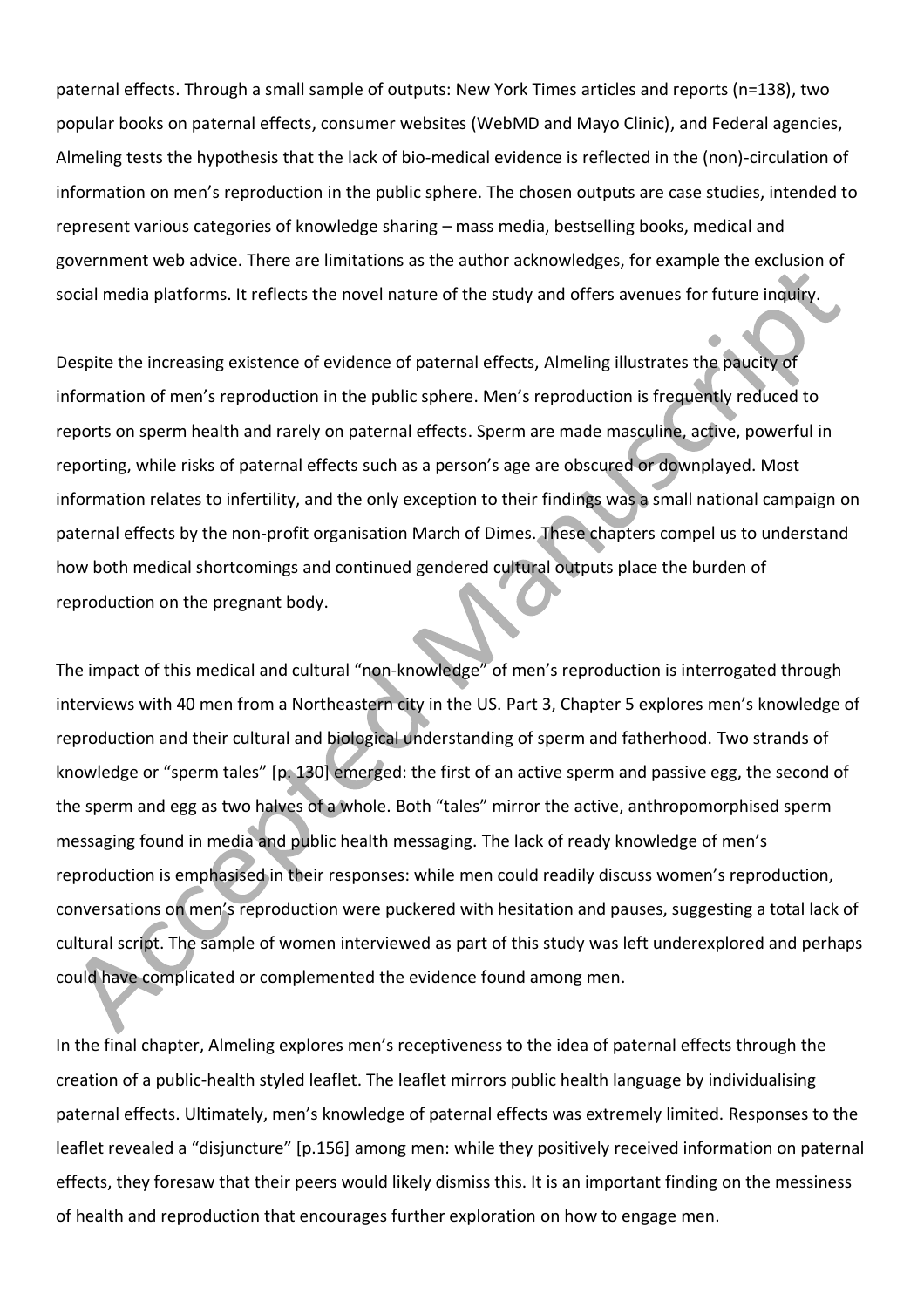paternal effects. Through a small sample of outputs: New York Times articles and reports (n=138), two popular books on paternal effects, consumer websites (WebMD and Mayo Clinic), and Federal agencies, Almeling tests the hypothesis that the lack of bio-medical evidence is reflected in the (non)-circulation of information on men's reproduction in the public sphere. The chosen outputs are case studies, intended to represent various categories of knowledge sharing – mass media, bestselling books, medical and government web advice. There are limitations as the author acknowledges, for example the exclusion of social media platforms. It reflects the novel nature of the study and offers avenues for future inquiry.

Despite the increasing existence of evidence of paternal effects, Almeling illustrates the paucity of information of men's reproduction in the public sphere. Men's reproduction is frequently reduced to reports on sperm health and rarely on paternal effects. Sperm are made masculine, active, powerful in reporting, while risks of paternal effects such as a person's age are obscured or downplayed. Most information relates to infertility, and the only exception to their findings was a small national campaign on paternal effects by the non-profit organisation March of Dimes. These chapters compel us to understand how both medical shortcomings and continued gendered cultural outputs place the burden of reproduction on the pregnant body.

The impact of this medical and cultural "non-knowledge" of men's reproduction is interrogated through interviews with 40 men from a Northeastern city in the US. Part 3, Chapter 5 explores men's knowledge of reproduction and their cultural and biological understanding of sperm and fatherhood. Two strands of knowledge or "sperm tales" [p. 130] emerged: the first of an active sperm and passive egg, the second of the sperm and egg as two halves of a whole. Both "tales" mirror the active, anthropomorphised sperm messaging found in media and public health messaging. The lack of ready knowledge of men's reproduction is emphasised in their responses: while men could readily discuss women's reproduction, conversations on men's reproduction were puckered with hesitation and pauses, suggesting a total lack of cultural script. The sample of women interviewed as part of this study was left underexplored and perhaps could have complicated or complemented the evidence found among men.

In the final chapter, Almeling explores men's receptiveness to the idea of paternal effects through the creation of a public-health styled leaflet. The leaflet mirrors public health language by individualising paternal effects. Ultimately, men's knowledge of paternal effects was extremely limited. Responses to the leaflet revealed a "disjuncture" [p.156] among men: while they positively received information on paternal effects, they foresaw that their peers would likely dismiss this. It is an important finding on the messiness of health and reproduction that encourages further exploration on how to engage men.